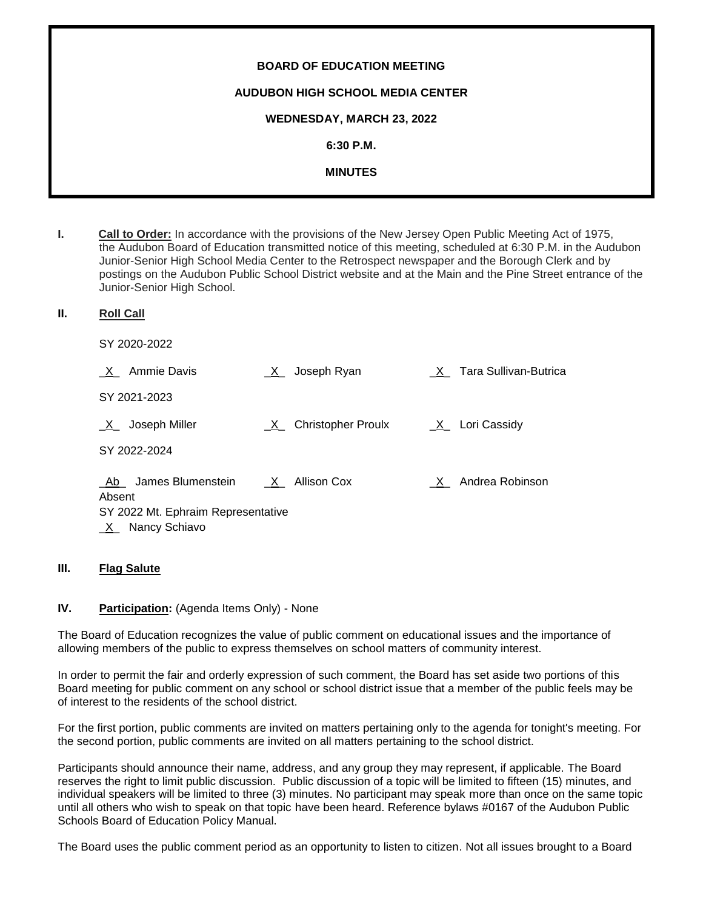| <b>BOARD OF EDUCATION MEETING</b>       |
|-----------------------------------------|
| <b>AUDUBON HIGH SCHOOL MEDIA CENTER</b> |
| <b>WEDNESDAY, MARCH 23, 2022</b>        |
| $6:30$ P.M.                             |
| <b>MINUTES</b>                          |
|                                         |

- **I. Call to Order:** In accordance with the provisions of the New Jersey Open Public Meeting Act of 1975, the Audubon Board of Education transmitted notice of this meeting, scheduled at 6:30 P.M. in the Audubon Junior-Senior High School Media Center to the Retrospect newspaper and the Borough Clerk and by postings on the Audubon Public School District website and at the Main and the Pine Street entrance of the Junior-Senior High School.
- **II. Roll Call**

SY 2020-2022

| <b>Ammie Davis</b><br>$\mathsf{X}$ | Joseph Ryan<br>$\mathsf{X}$    |     | X Tara Sullivan-Butrica |
|------------------------------------|--------------------------------|-----|-------------------------|
| SY 2021-2023                       |                                |     |                         |
| Joseph Miller<br>$X_{-}$           | <b>Christopher Proulx</b><br>X |     | $X_$ Lori Cassidy       |
| SY 2022-2024                       |                                |     |                         |
| James Blumenstein<br>Ab<br>Absent  | X Allison Cox                  | X - | Andrea Robinson         |
| SY 2022 Mt. Ephraim Representative |                                |     |                         |
| Nancy Schiavo<br>$X_{-}$           |                                |     |                         |

#### **III. Flag Salute**

#### **IV. Participation:** (Agenda Items Only) - None

The Board of Education recognizes the value of public comment on educational issues and the importance of allowing members of the public to express themselves on school matters of community interest.

In order to permit the fair and orderly expression of such comment, the Board has set aside two portions of this Board meeting for public comment on any school or school district issue that a member of the public feels may be of interest to the residents of the school district.

For the first portion, public comments are invited on matters pertaining only to the agenda for tonight's meeting. For the second portion, public comments are invited on all matters pertaining to the school district.

Participants should announce their name, address, and any group they may represent, if applicable. The Board reserves the right to limit public discussion. Public discussion of a topic will be limited to fifteen (15) minutes, and individual speakers will be limited to three (3) minutes. No participant may speak more than once on the same topic until all others who wish to speak on that topic have been heard. Reference bylaws #0167 of the Audubon Public Schools Board of Education Policy Manual.

The Board uses the public comment period as an opportunity to listen to citizen. Not all issues brought to a Board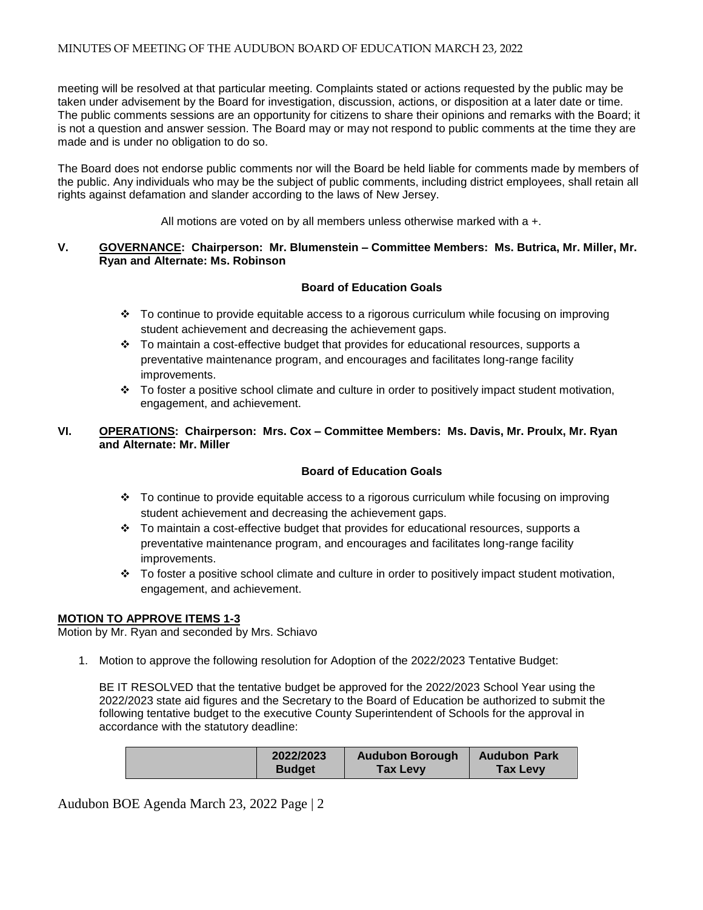meeting will be resolved at that particular meeting. Complaints stated or actions requested by the public may be taken under advisement by the Board for investigation, discussion, actions, or disposition at a later date or time. The public comments sessions are an opportunity for citizens to share their opinions and remarks with the Board; it is not a question and answer session. The Board may or may not respond to public comments at the time they are made and is under no obligation to do so.

The Board does not endorse public comments nor will the Board be held liable for comments made by members of the public. Any individuals who may be the subject of public comments, including district employees, shall retain all rights against defamation and slander according to the laws of New Jersey.

All motions are voted on by all members unless otherwise marked with a +.

### **V. GOVERNANCE: Chairperson: Mr. Blumenstein – Committee Members: Ms. Butrica, Mr. Miller, Mr. Ryan and Alternate: Ms. Robinson**

# **Board of Education Goals**

- To continue to provide equitable access to a rigorous curriculum while focusing on improving student achievement and decreasing the achievement gaps.
- $\cdot \cdot$  To maintain a cost-effective budget that provides for educational resources, supports a preventative maintenance program, and encourages and facilitates long-range facility improvements.
- $\cdot \cdot$  To foster a positive school climate and culture in order to positively impact student motivation, engagement, and achievement.

## **VI. OPERATIONS: Chairperson: Mrs. Cox – Committee Members: Ms. Davis, Mr. Proulx, Mr. Ryan and Alternate: Mr. Miller**

## **Board of Education Goals**

- $\cdot \cdot$  To continue to provide equitable access to a rigorous curriculum while focusing on improving student achievement and decreasing the achievement gaps.
- $\div$  To maintain a cost-effective budget that provides for educational resources, supports a preventative maintenance program, and encourages and facilitates long-range facility improvements.
- $\cdot \cdot$  To foster a positive school climate and culture in order to positively impact student motivation, engagement, and achievement.

## **MOTION TO APPROVE ITEMS 1-3**

Motion by Mr. Ryan and seconded by Mrs. Schiavo

1. Motion to approve the following resolution for Adoption of the 2022/2023 Tentative Budget:

BE IT RESOLVED that the tentative budget be approved for the 2022/2023 School Year using the 2022/2023 state aid figures and the Secretary to the Board of Education be authorized to submit the following tentative budget to the executive County Superintendent of Schools for the approval in accordance with the statutory deadline:

| 2022/2023     | <b>Audubon Borough</b> | <b>Audubon Park</b> |
|---------------|------------------------|---------------------|
| <b>Budget</b> | <b>Tax Levy</b>        | <b>Tax Levy</b>     |

Audubon BOE Agenda March 23, 2022 Page | 2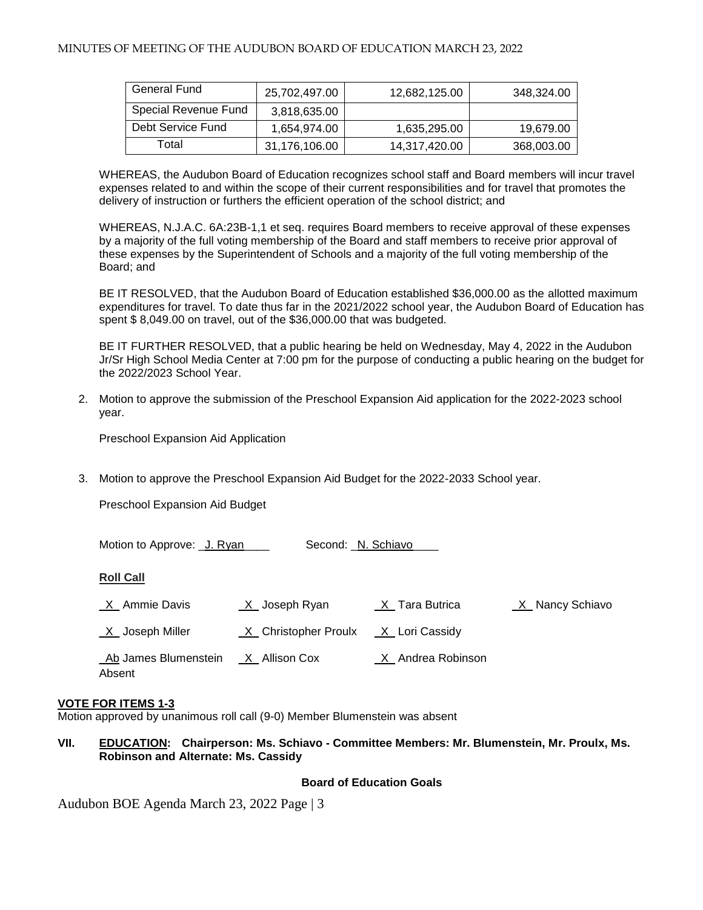| General Fund         | 25,702,497.00 | 12,682,125.00 | 348,324.00 |
|----------------------|---------------|---------------|------------|
| Special Revenue Fund | 3,818,635.00  |               |            |
| Debt Service Fund    | 1,654,974.00  | 1,635,295.00  | 19,679.00  |
| Total                | 31,176,106.00 | 14,317,420.00 | 368,003.00 |

WHEREAS, the Audubon Board of Education recognizes school staff and Board members will incur travel expenses related to and within the scope of their current responsibilities and for travel that promotes the delivery of instruction or furthers the efficient operation of the school district; and

WHEREAS, N.J.A.C. 6A:23B-1,1 et seq. requires Board members to receive approval of these expenses by a majority of the full voting membership of the Board and staff members to receive prior approval of these expenses by the Superintendent of Schools and a majority of the full voting membership of the Board; and

BE IT RESOLVED, that the Audubon Board of Education established \$36,000.00 as the allotted maximum expenditures for travel. To date thus far in the 2021/2022 school year, the Audubon Board of Education has spent \$ 8,049.00 on travel, out of the \$36,000.00 that was budgeted.

BE IT FURTHER RESOLVED, that a public hearing be held on Wednesday, May 4, 2022 in the Audubon Jr/Sr High School Media Center at 7:00 pm for the purpose of conducting a public hearing on the budget for the 2022/2023 School Year.

2. Motion to approve the submission of the Preschool Expansion Aid application for the 2022-2023 school year.

Preschool Expansion Aid Application

3. Motion to approve the Preschool Expansion Aid Budget for the 2022-2033 School year.

Preschool Expansion Aid Budget

| Motion to Approve: U. Ryan     | Second: _N. Schiavo_ |                               |                   |
|--------------------------------|----------------------|-------------------------------|-------------------|
| <b>Roll Call</b>               |                      |                               |                   |
| _X_ Ammie Davis                | $X$ Joseph Ryan      | $X$ <sub>_</sub> Tara Butrica | _X_ Nancy Schiavo |
| $X$ Joseph Miller              | X Christopher Proulx | _X_ Lori Cassidy              |                   |
| Ab James Blumenstein<br>Absent | X Allison Cox        | X Andrea Robinson             |                   |

#### **VOTE FOR ITEMS 1-3**

Motion approved by unanimous roll call (9-0) Member Blumenstein was absent

#### **VII. EDUCATION: Chairperson: Ms. Schiavo - Committee Members: Mr. Blumenstein, Mr. Proulx, Ms. Robinson and Alternate: Ms. Cassidy**

#### **Board of Education Goals**

Audubon BOE Agenda March 23, 2022 Page | 3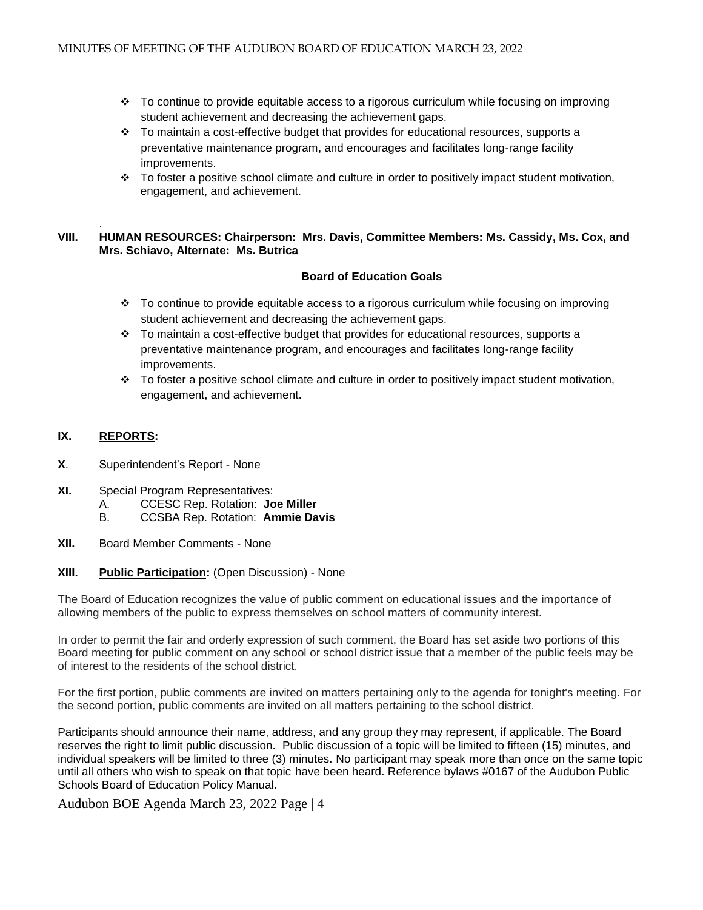- $\div$  To continue to provide equitable access to a rigorous curriculum while focusing on improving student achievement and decreasing the achievement gaps.
- $\div$  To maintain a cost-effective budget that provides for educational resources, supports a preventative maintenance program, and encourages and facilitates long-range facility improvements.
- $\cdot \cdot$  To foster a positive school climate and culture in order to positively impact student motivation, engagement, and achievement.

#### . **VIII. HUMAN RESOURCES: Chairperson: Mrs. Davis, Committee Members: Ms. Cassidy, Ms. Cox, and Mrs. Schiavo, Alternate: Ms. Butrica**

## **Board of Education Goals**

- To continue to provide equitable access to a rigorous curriculum while focusing on improving student achievement and decreasing the achievement gaps.
- $\div$  To maintain a cost-effective budget that provides for educational resources, supports a preventative maintenance program, and encourages and facilitates long-range facility improvements.
- $\div$  To foster a positive school climate and culture in order to positively impact student motivation, engagement, and achievement.

# **IX. REPORTS:**

- **X**. Superintendent's Report None
- **XI.** Special Program Representatives:
	- A. CCESC Rep. Rotation: **Joe Miller**
	- B. CCSBA Rep. Rotation: **Ammie Davis**
- **XII.** Board Member Comments None

## **XIII. Public Participation:** (Open Discussion) - None

The Board of Education recognizes the value of public comment on educational issues and the importance of allowing members of the public to express themselves on school matters of community interest.

In order to permit the fair and orderly expression of such comment, the Board has set aside two portions of this Board meeting for public comment on any school or school district issue that a member of the public feels may be of interest to the residents of the school district.

For the first portion, public comments are invited on matters pertaining only to the agenda for tonight's meeting. For the second portion, public comments are invited on all matters pertaining to the school district.

Participants should announce their name, address, and any group they may represent, if applicable. The Board reserves the right to limit public discussion. Public discussion of a topic will be limited to fifteen (15) minutes, and individual speakers will be limited to three (3) minutes. No participant may speak more than once on the same topic until all others who wish to speak on that topic have been heard. Reference bylaws #0167 of the Audubon Public Schools Board of Education Policy Manual.

Audubon BOE Agenda March 23, 2022 Page | 4